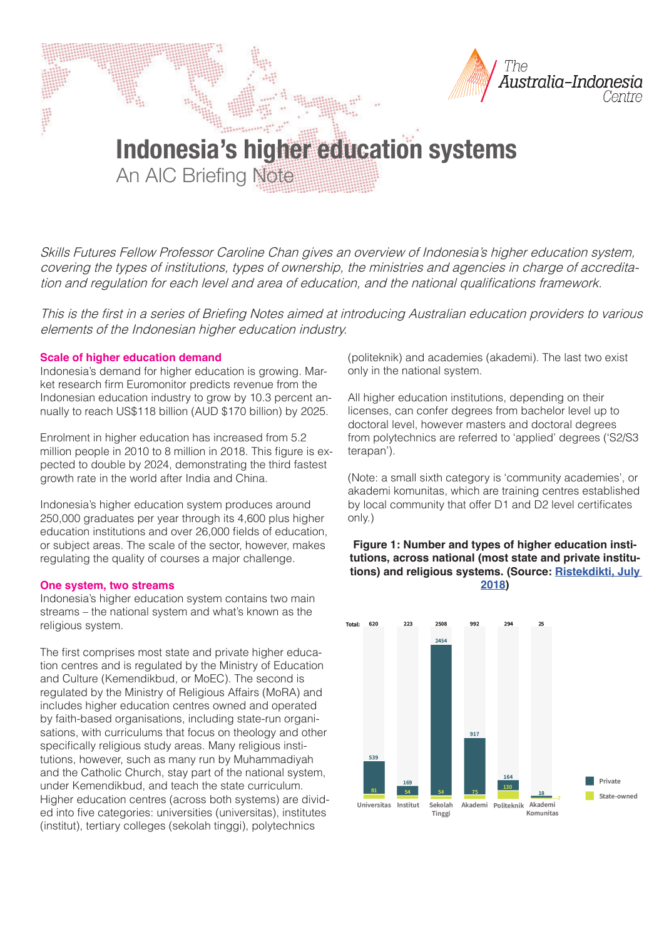

**Indonesia's higher education systems** An AIC Briefing Note

Skills Futures Fellow Professor Caroline Chan gives an overview of Indonesia's higher education system, covering the types of institutions, types of ownership, the ministries and agencies in charge of accreditation and regulation for each level and area of education, and the national qualifications framework.

This is the first in a series of Briefing Notes aimed at introducing Australian education providers to various elements of the Indonesian higher education industry.

### **Scale of higher education demand**

Indonesia's demand for higher education is growing. Market research firm Euromonitor predicts revenue from the Indonesian education industry to grow by 10.3 percent annually to reach US\$118 billion (AUD \$170 billion) by 2025.

Enrolment in higher education has increased from 5.2 million people in 2010 to 8 million in 2018. This figure is expected to double by 2024, demonstrating the third fastest growth rate in the world after India and China.

Indonesia's higher education system produces around 250,000 graduates per year through its 4,600 plus higher education institutions and over 26,000 fields of education, or subject areas. The scale of the sector, however, makes regulating the quality of courses a major challenge.

### **One system, two streams**

Indonesia's higher education system contains two main streams – the national system and what's known as the religious system.

The first comprises most state and private higher education centres and is regulated by the Ministry of Education and Culture (Kemendikbud, or MoEC). The second is regulated by the Ministry of Religious Affairs (MoRA) and includes higher education centres owned and operated by faith-based organisations, including state-run organisations, with curriculums that focus on theology and other specifically religious study areas. Many religious institutions, however, such as many run by Muhammadiyah and the Catholic Church, stay part of the national system, under Kemendikbud, and teach the state curriculum. Higher education centres (across both systems) are divided into five categories: universities (universitas), institutes (institut), tertiary colleges (sekolah tinggi), polytechnics

(politeknik) and academies (akademi). The last two exist only in the national system.

All higher education institutions, depending on their licenses, can confer degrees from bachelor level up to doctoral level, however masters and doctoral degrees from polytechnics are referred to 'applied' degrees ('S2/S3 terapan').

(Note: a small sixth category is 'community academies', or akademi komunitas, which are training centres established by local community that offer D1 and D2 level certificates only.)

## **Figure 1: Number and types of higher education institutions, across national (most state and private institutions) and religious systems. (Source: Ristekdikti, July 2018)**

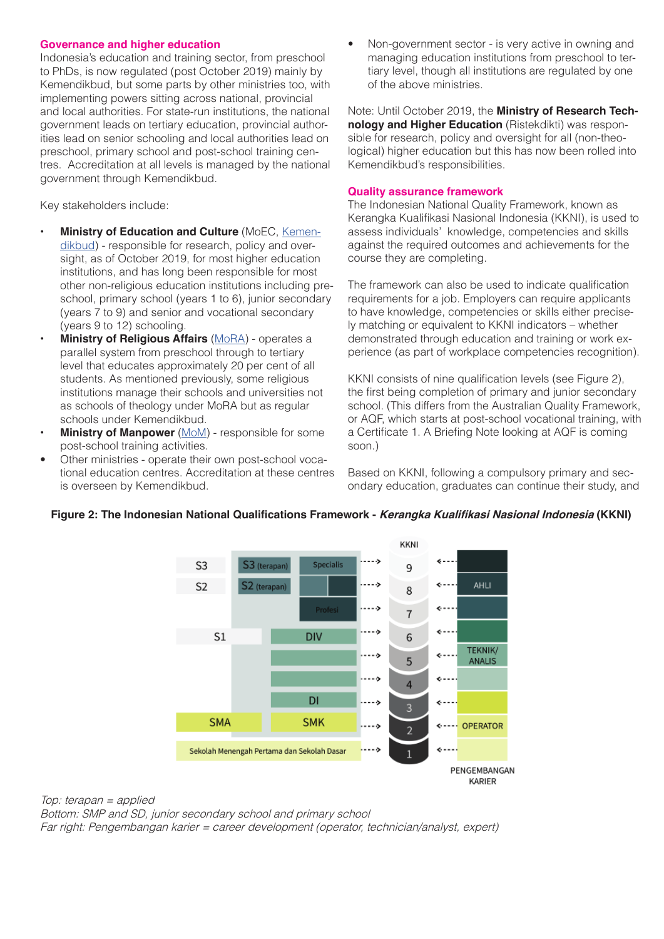### **Governance and higher education**

Indonesia's education and training sector, from preschool to PhDs, is now regulated (post October 2019) mainly by Kemendikbud, but some parts by other ministries too, with implementing powers sitting across national, provincial and local authorities. For state-run institutions, the national government leads on tertiary education, provincial authorities lead on senior schooling and local authorities lead on preschool, primary school and post-school training centres. Accreditation at all levels is managed by the national government through Kemendikbud.

Key stakeholders include:

- **Ministry of Education and Culture** (MoEC, Kemendikbud) - responsible for research, policy and oversight, as of October 2019, for most higher education institutions, and has long been responsible for most other non-religious education institutions including preschool, primary school (years 1 to 6), junior secondary (years 7 to 9) and senior and vocational secondary (years 9 to 12) schooling.
- **Ministry of Religious Affairs** (MoRA) operates a parallel system from preschool through to tertiary level that educates approximately 20 per cent of all students. As mentioned previously, some religious institutions manage their schools and universities not as schools of theology under MoRA but as regular schools under Kemendikbud.
- **Ministry of Manpower** (MoM) responsible for some post-school training activities.
- Other ministries operate their own post-school vocational education centres. Accreditation at these centres is overseen by Kemendikbud.

• Non-government sector - is very active in owning and managing education institutions from preschool to tertiary level, though all institutions are regulated by one of the above ministries.

Note: Until October 2019, the **Ministry of Research Technology and Higher Education** (Ristekdikti) was responsible for research, policy and oversight for all (non-theological) higher education but this has now been rolled into Kemendikbud's responsibilities.

### **Quality assurance framework**

The Indonesian National Quality Framework, known as Kerangka Kualifikasi Nasional Indonesia (KKNI), is used to assess individuals' knowledge, competencies and skills against the required outcomes and achievements for the course they are completing.

The framework can also be used to indicate qualification requirements for a job. Employers can require applicants to have knowledge, competencies or skills either precisely matching or equivalent to KKNI indicators – whether demonstrated through education and training or work experience (as part of workplace competencies recognition).

KKNI consists of nine qualification levels (see Figure 2), the first being completion of primary and junior secondary school. (This differs from the Australian Quality Framework, or AQF, which starts at post-school vocational training, with a Certificate 1. A Briefing Note looking at AQF is coming soon.)

Based on KKNI, following a compulsory primary and secondary education, graduates can continue their study, and



# Figure 2: The Indonesian National Qualifications Framework - *Kerangka Kualifikasi Nasional Indonesia* (KKNI)

Top: terapan = applied Bottom: SMP and SD, junior secondary school and primary school Far right: Pengembangan karier = career development (operator, technician/analyst, expert)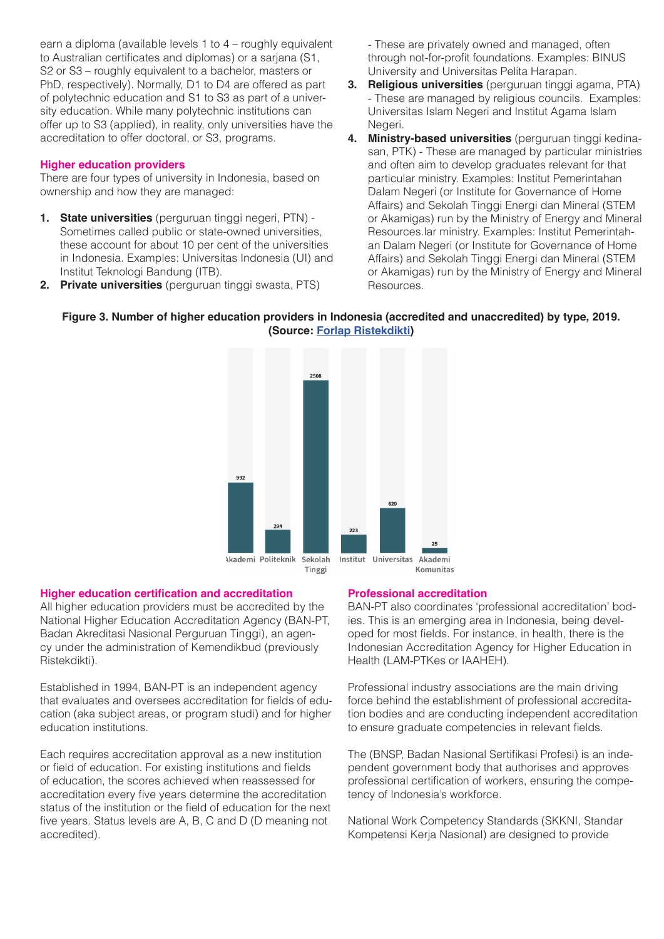earn a diploma (available levels 1 to 4 – roughly equivalent to Australian certificates and diplomas) or a sarjana (S1, S2 or S3 – roughly equivalent to a bachelor, masters or PhD, respectively). Normally, D1 to D4 are offered as part of polytechnic education and S1 to S3 as part of a university education. While many polytechnic institutions can offer up to S3 (applied), in reality, only universities have the accreditation to offer doctoral, or S3, programs.

# **Higher education providers**

There are four types of university in Indonesia, based on ownership and how they are managed:

- **1. State universities** (perguruan tinggi negeri, PTN) Sometimes called public or state-owned universities, these account for about 10 per cent of the universities in Indonesia. Examples: Universitas Indonesia (UI) and Institut Teknologi Bandung (ITB).
- **2. Private universities** (perguruan tinggi swasta, PTS)

- These are privately owned and managed, often through not-for-profit foundations. Examples: BINUS University and Universitas Pelita Harapan.

- **3. Religious universities** (perguruan tinggi agama, PTA) - These are managed by religious councils. Examples: Universitas Islam Negeri and Institut Agama Islam Negeri.
- **4. Ministry-based universities** (perguruan tinggi kedinasan, PTK) - These are managed by particular ministries and often aim to develop graduates relevant for that particular ministry. Examples: Institut Pemerintahan Dalam Negeri (or Institute for Governance of Home Affairs) and Sekolah Tinggi Energi dan Mineral (STEM or Akamigas) run by the Ministry of Energy and Mineral Resources.lar ministry. Examples: Institut Pemerintahan Dalam Negeri (or Institute for Governance of Home Affairs) and Sekolah Tinggi Energi dan Mineral (STEM or Akamigas) run by the Ministry of Energy and Mineral Resources.

# **Figure 3. Number of higher education providers in Indonesia (accredited and unaccredited) by type, 2019. (Source: Forlap Ristekdikti)**



## **Higher education certification and accreditation**

All higher education providers must be accredited by the National Higher Education Accreditation Agency (BAN-PT, Badan Akreditasi Nasional Perguruan Tinggi), an agency under the administration of Kemendikbud (previously Ristekdikti).

Established in 1994, BAN-PT is an independent agency that evaluates and oversees accreditation for fields of education (aka subject areas, or program studi) and for higher education institutions.

Each requires accreditation approval as a new institution or field of education. For existing institutions and fields of education, the scores achieved when reassessed for accreditation every five years determine the accreditation status of the institution or the field of education for the next five years. Status levels are A, B, C and D (D meaning not accredited).

## **Professional accreditation**

BAN-PT also coordinates 'professional accreditation' bodies. This is an emerging area in Indonesia, being developed for most fields. For instance, in health, there is the Indonesian Accreditation Agency for Higher Education in Health (LAM-PTKes or IAAHEH).

Professional industry associations are the main driving force behind the establishment of professional accreditation bodies and are conducting independent accreditation to ensure graduate competencies in relevant fields.

The (BNSP, Badan Nasional Sertifikasi Profesi) is an independent government body that authorises and approves professional certification of workers, ensuring the competency of Indonesia's workforce.

National Work Competency Standards (SKKNI, Standar Kompetensi Kerja Nasional) are designed to provide